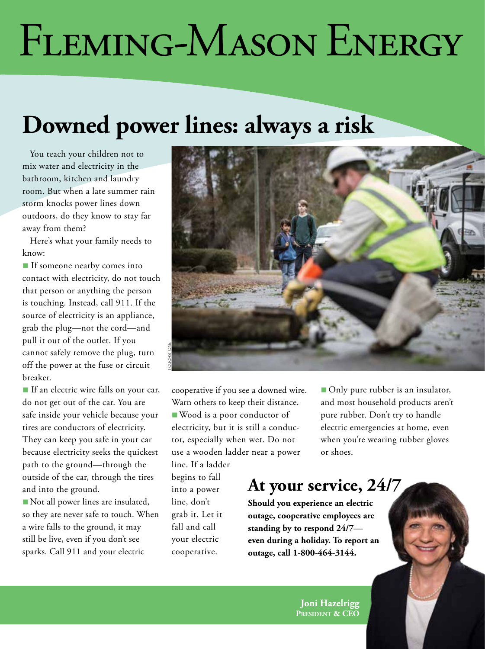# *cooperative news* FLEMING-MASON ENERGY

## **Downed power lines: always a risk**

You teach your children not to mix water and electricity in the bathroom, kitchen and laundry room. But when a late summer rain storm knocks power lines down outdoors, do they know to stay far away from them?

Here's what your family needs to know:

**n** If someone nearby comes into contact with electricity, do not touch that person or anything the person is touching. Instead, call 911. If the source of electricity is an appliance, grab the plug—not the cord—and pull it out of the outlet. If you cannot safely remove the plug, turn off the power at the fuse or circuit breaker.

If an electric wire falls on your car, do not get out of the car. You are safe inside your vehicle because your tires are conductors of electricity. They can keep you safe in your car because electricity seeks the quickest path to the ground—through the outside of the car, through the tires and into the ground.

Not all power lines are insulated, so they are never safe to touch. When a wire falls to the ground, it may still be live, even if you don't see sparks. Call 911 and your electric



cooperative if you see a downed wire. Warn others to keep their distance. ■ Wood is a poor conductor of electricity, but it is still a conductor, especially when wet. Do not use a wooden ladder near a power

line. If a ladder begins to fall into a power line, don't grab it. Let it fall and call your electric cooperative.

■ Only pure rubber is an insulator, and most household products aren't pure rubber. Don't try to handle electric emergencies at home, even when you're wearing rubber gloves or shoes.

#### **At your service, 24/7**

**Should you experience an electric outage, cooperative employees are standing by to respond 24/7 even during a holiday. To report an outage, call 1-800-464-3144.**

> **Joni Hazelrigg President & CEO**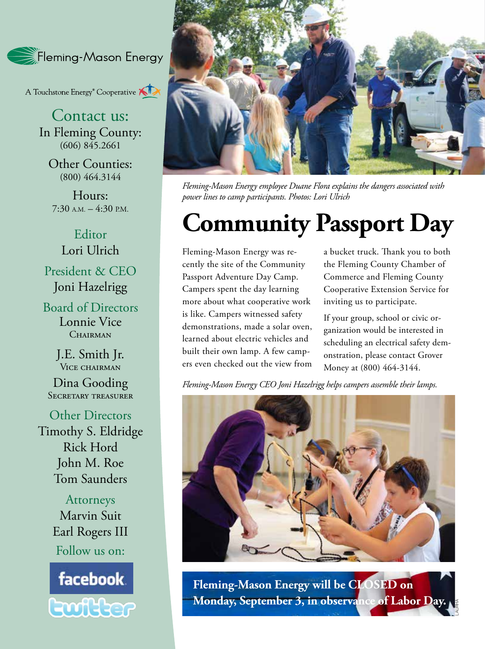Fleming-Mason Energy

A Touchstone Energy<sup>®</sup> Cooperative

Contact us: In Fleming County:  $(606) 845.2661$ 

Other Counties: (800) 464.3144

Hours:  $7:30$  A.M.  $-4:30$  P.M.

Editor Lori Ulrich President & CEO Joni Hazelrigg

Board of Directors Lonnie Vice CHAIRMAN

> J.E. Smith Jr. Vice chairman

Dina Gooding SECRETARY TREASURER

Other Directors Timothy S. Eldridge Rick Hord John M. Roe Tom Saunders

> Attorneys Marvin Suit Earl Rogers III Follow us on:





*Fleming-Mason Energy employee Duane Flora explains the dangers associated with power lines to camp participants. Photos: Lori Ulrich*

## **Community Passport Day**

Fleming-Mason Energy was recently the site of the Community Passport Adventure Day Camp. Campers spent the day learning more about what cooperative work is like. Campers witnessed safety demonstrations, made a solar oven, learned about electric vehicles and built their own lamp. A few campers even checked out the view from a bucket truck. Thank you to both the Fleming County Chamber of Commerce and Fleming County Cooperative Extension Service for inviting us to participate.

If your group, school or civic organization would be interested in scheduling an electrical safety demonstration, please contact Grover Money at (800) 464-3144.

LAURHA

*Fleming-Mason Energy CEO Joni Hazelrigg helps campers assemble their lamps.* 



**Fleming-Mason Energy will be CLOSED on Monday, September 3, in observance of Labor Day.**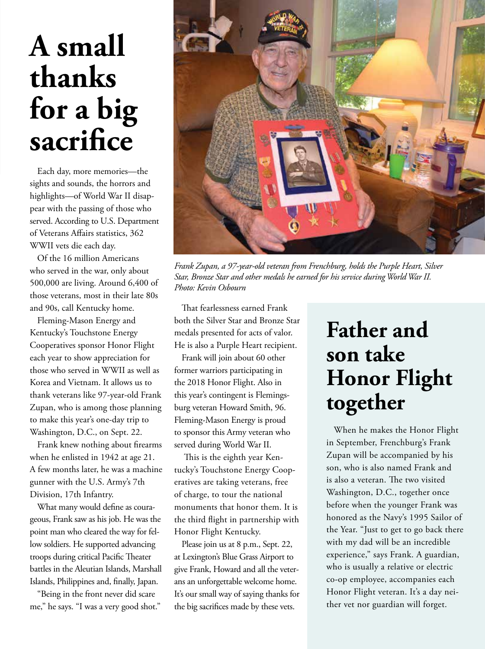# **A small thanks for a big sacrifice**

Each day, more memories—the sights and sounds, the horrors and highlights—of World War II disappear with the passing of those who served. According to U.S. Department of Veterans Affairs statistics, 362 WWII vets die each day.

Of the 16 million Americans who served in the war, only about 500,000 are living. Around 6,400 of those veterans, most in their late 80s and 90s, call Kentucky home.

Fleming-Mason Energy and Kentucky's Touchstone Energy Cooperatives sponsor Honor Flight each year to show appreciation for those who served in WWII as well as Korea and Vietnam. It allows us to thank veterans like 97-year-old Frank Zupan, who is among those planning to make this year's one-day trip to Washington, D.C., on Sept. 22.

Frank knew nothing about firearms when he enlisted in 1942 at age 21. A few months later, he was a machine gunner with the U.S. Army's 7th Division, 17th Infantry.

What many would define as courageous, Frank saw as his job. He was the point man who cleared the way for fellow soldiers. He supported advancing troops during critical Pacific Theater battles in the Aleutian Islands, Marshall Islands, Philippines and, finally, Japan.

"Being in the front never did scare me," he says. "I was a very good shot."



*Frank Zupan, a 97-year-old veteran from Frenchburg, holds the Purple Heart, Silver Star, Bronze Star and other medals he earned for his service during World War II. Photo: Kevin Osbourn*

That fearlessness earned Frank both the Silver Star and Bronze Star medals presented for acts of valor. He is also a Purple Heart recipient.

Frank will join about 60 other former warriors participating in the 2018 Honor Flight. Also in this year's contingent is Flemingsburg veteran Howard Smith, 96. Fleming-Mason Energy is proud to sponsor this Army veteran who served during World War II.

 This is the eighth year Kentucky's Touchstone Energy Cooperatives are taking veterans, free of charge, to tour the national monuments that honor them. It is the third flight in partnership with Honor Flight Kentucky.

Please join us at 8 p.m., Sept. 22, at Lexington's Blue Grass Airport to give Frank, Howard and all the veterans an unforgettable welcome home. It's our small way of saying thanks for the big sacrifices made by these vets.

## **Father and son take Honor Flight together**

When he makes the Honor Flight in September, Frenchburg's Frank Zupan will be accompanied by his son, who is also named Frank and is also a veteran. The two visited Washington, D.C., together once before when the younger Frank was honored as the Navy's 1995 Sailor of the Year. "Just to get to go back there with my dad will be an incredible experience," says Frank. A guardian, who is usually a relative or electric co-op employee, accompanies each Honor Flight veteran. It's a day neither vet nor guardian will forget.